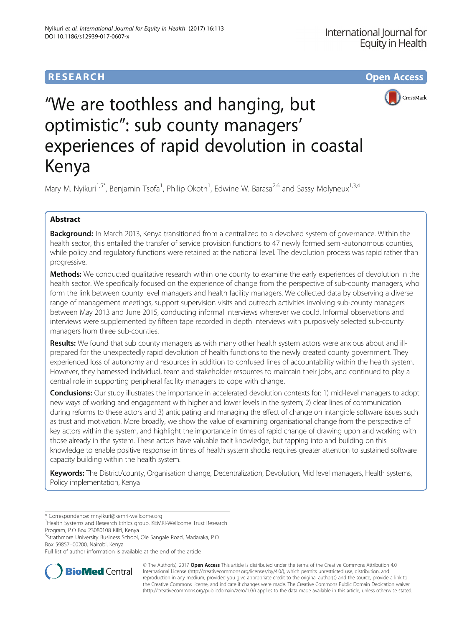

# "We are toothless and hanging, but optimistic": sub county managers' experiences of rapid devolution in coastal Kenya

Mary M. Nyikuri<sup>1,5\*</sup>, Benjamin Tsofa<sup>1</sup>, Philip Okoth<sup>1</sup>, Edwine W. Barasa<sup>2,6</sup> and Sassy Molyneux<sup>1,3,4</sup>

# Abstract

Background: In March 2013, Kenya transitioned from a centralized to a devolved system of governance. Within the health sector, this entailed the transfer of service provision functions to 47 newly formed semi-autonomous counties, while policy and regulatory functions were retained at the national level. The devolution process was rapid rather than progressive.

Methods: We conducted qualitative research within one county to examine the early experiences of devolution in the health sector. We specifically focused on the experience of change from the perspective of sub-county managers, who form the link between county level managers and health facility managers. We collected data by observing a diverse range of management meetings, support supervision visits and outreach activities involving sub-county managers between May 2013 and June 2015, conducting informal interviews wherever we could. Informal observations and interviews were supplemented by fifteen tape recorded in depth interviews with purposively selected sub-county managers from three sub-counties.

Results: We found that sub county managers as with many other health system actors were anxious about and illprepared for the unexpectedly rapid devolution of health functions to the newly created county government. They experienced loss of autonomy and resources in addition to confused lines of accountability within the health system. However, they harnessed individual, team and stakeholder resources to maintain their jobs, and continued to play a central role in supporting peripheral facility managers to cope with change.

Conclusions: Our study illustrates the importance in accelerated devolution contexts for: 1) mid-level managers to adopt new ways of working and engagement with higher and lower levels in the system; 2) clear lines of communication during reforms to these actors and 3) anticipating and managing the effect of change on intangible software issues such as trust and motivation. More broadly, we show the value of examining organisational change from the perspective of key actors within the system, and highlight the importance in times of rapid change of drawing upon and working with those already in the system. These actors have valuable tacit knowledge, but tapping into and building on this knowledge to enable positive response in times of health system shocks requires greater attention to sustained software capacity building within the health system.

Keywords: The District/county, Organisation change, Decentralization, Devolution, Mid level managers, Health systems, Policy implementation, Kenya

\* Correspondence: [mnyikuri@kemri-wellcome.org](mailto:mnyikuri@kemri-wellcome.org) <sup>1</sup>

<sup>1</sup>Health Systems and Research Ethics group. KEMRI-Wellcome Trust Research Program, P.O Box 23080108 Kilifi, Kenya

5 Strathmore University Business School, Ole Sangale Road, Madaraka, P.O. Box 59857–00200, Nairobi, Kenya

Full list of author information is available at the end of the article



© The Author(s). 2017 **Open Access** This article is distributed under the terms of the Creative Commons Attribution 4.0 International License [\(http://creativecommons.org/licenses/by/4.0/](http://creativecommons.org/licenses/by/4.0/)), which permits unrestricted use, distribution, and reproduction in any medium, provided you give appropriate credit to the original author(s) and the source, provide a link to the Creative Commons license, and indicate if changes were made. The Creative Commons Public Domain Dedication waiver [\(http://creativecommons.org/publicdomain/zero/1.0/](http://creativecommons.org/publicdomain/zero/1.0/)) applies to the data made available in this article, unless otherwise stated.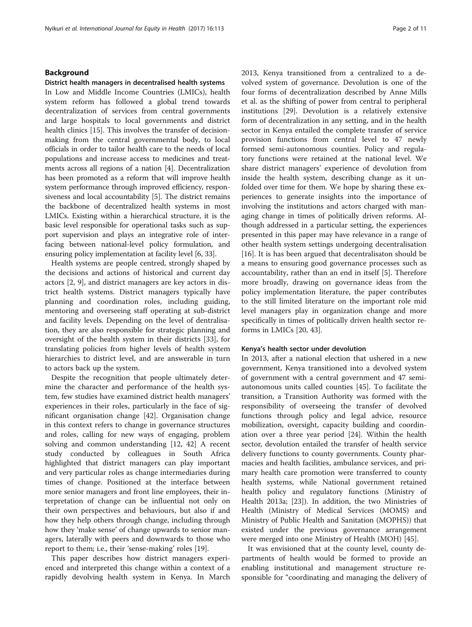# Background

#### District health managers in decentralised health systems

In Low and Middle Income Countries (LMICs), health system reform has followed a global trend towards decentralization of services from central governments and large hospitals to local governments and district health clinics [[15\]](#page-10-0). This involves the transfer of decisionmaking from the central governmental body, to local officials in order to tailor health care to the needs of local populations and increase access to medicines and treatments across all regions of a nation [[4\]](#page-10-0). Decentralization has been promoted as a reform that will improve health system performance through improved efficiency, responsiveness and local accountability [[5](#page-10-0)]. The district remains the backbone of decentralized health systems in most LMICs. Existing within a hierarchical structure, it is the basic level responsible for operational tasks such as support supervision and plays an integrative role of interfacing between national-level policy formulation, and ensuring policy implementation at facility level [\[6, 33](#page-10-0)].

Health systems are people centred, strongly shaped by the decisions and actions of historical and current day actors [[2, 9\]](#page-10-0), and district managers are key actors in district health systems. District managers typically have planning and coordination roles, including guiding, mentoring and overseeing staff operating at sub-district and facility levels. Depending on the level of dentralisation, they are also responsible for strategic planning and oversight of the health system in their districts [\[33\]](#page-10-0), for translating policies from higher levels of health system hierarchies to district level, and are answerable in turn to actors back up the system.

Despite the recognition that people ultimately determine the character and performance of the health system, few studies have examined district health managers' experiences in their roles, particularly in the face of significant organisation change [\[42\]](#page-10-0). Organisation change in this context refers to change in governance structures and roles, calling for new ways of engaging, problem solving and common understanding [\[12](#page-10-0), [42](#page-10-0)] A recent study conducted by colleagues in South Africa highlighted that district managers can play important and very particular roles as change intermediaries during times of change. Positioned at the interface between more senior managers and front line employees, their interpretation of change can be influential not only on their own perspectives and behaviours, but also if and how they help others through change, including through how they 'make sense' of change upwards to senior managers, laterally with peers and downwards to those who report to them; i.e., their 'sense-making' roles [[19](#page-10-0)].

This paper describes how district managers experienced and interpreted this change within a context of a rapidly devolving health system in Kenya. In March 2013, Kenya transitioned from a centralized to a devolved system of governance. Devolution is one of the four forms of decentralization described by Anne Mills et al. as the shifting of power from central to peripheral institutions [\[29](#page-10-0)]. Devolution is a relatively extensive form of decentralization in any setting, and in the health sector in Kenya entailed the complete transfer of service provision functions from central level to 47 newly formed semi-autonomous counties. Policy and regulatory functions were retained at the national level. We share district managers' experience of devolution from inside the health system, describing change as it unfolded over time for them. We hope by sharing these experiences to generate insights into the importance of involving the institutions and actors charged with managing change in times of politically driven reforms. Although addressed in a particular setting, the experiences presented in this paper may have relevance in a range of other health system settings undergoing decentralisation [[16\]](#page-10-0). It is has been argued that decentralisaton should be a means to ensuring good governance processes such as accountability, rather than an end in itself [[5\]](#page-10-0). Therefore more broadly, drawing on governance ideas from the policy implementation literature, the paper contributes to the still limited literature on the important role mid level managers play in organization change and more specifically in times of politically driven health sector reforms in LMICs [[20, 43](#page-10-0)].

## Kenya's health sector under devolution

In 2013, after a national election that ushered in a new government, Kenya transitioned into a devolved system of government with a central government and 47 semiautonomous units called counties [[45](#page-10-0)]. To facilitate the transition, a Transition Authority was formed with the responsibility of overseeing the transfer of devolved functions through policy and legal advice, resource mobilization, oversight, capacity building and coordination over a three year period [[24](#page-10-0)]. Within the health sector, devolution entailed the transfer of health service delivery functions to county governments. County pharmacies and health facilities, ambulance services, and primary health care promotion were transferred to county health systems, while National government retained health policy and regulatory functions (Ministry of Health 2013a; [[23\]](#page-10-0)). In addition, the two Ministries of Health (Ministry of Medical Services (MOMS) and Ministry of Public Health and Sanitation (MOPHS)) that existed under the previous governance arrangement were merged into one Ministry of Health (MOH) [\[45](#page-10-0)].

It was envisioned that at the county level, county departments of health would be formed to provide an enabling institutional and management structure responsible for "coordinating and managing the delivery of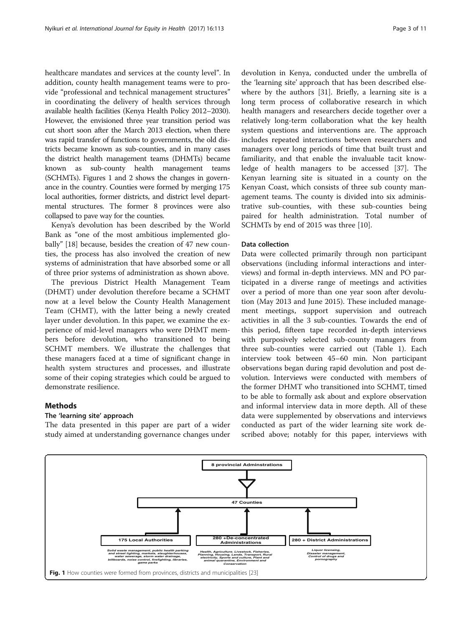<span id="page-2-0"></span>healthcare mandates and services at the county level". In addition, county health management teams were to provide "professional and technical management structures" in coordinating the delivery of health services through available health facilities (Kenya Health Policy 2012–2030). However, the envisioned three year transition period was cut short soon after the March 2013 election, when there was rapid transfer of functions to governments, the old districts became known as sub-counties, and in many cases the district health management teams (DHMTs) became known as sub-county health management teams (SCHMTs). Figures 1 and [2](#page-3-0) shows the changes in governance in the country. Counties were formed by merging 175 local authorities, former districts, and district level departmental structures. The former 8 provinces were also collapsed to pave way for the counties.

Kenya's devolution has been described by the World Bank as "one of the most ambitious implemented globally" [\[18](#page-10-0)] because, besides the creation of 47 new counties, the process has also involved the creation of new systems of administration that have absorbed some or all of three prior systems of administration as shown above.

The previous District Health Management Team (DHMT) under devolution therefore became a SCHMT now at a level below the County Health Management Team (CHMT), with the latter being a newly created layer under devolution. In this paper, we examine the experience of mid-level managers who were DHMT members before devolution, who transitioned to being SCHMT members. We illustrate the challenges that these managers faced at a time of significant change in health system structures and processes, and illustrate some of their coping strategies which could be argued to demonstrate resilience.

# Methods

## The 'learning site' approach

The data presented in this paper are part of a wider study aimed at understanding governance changes under devolution in Kenya, conducted under the umbrella of the 'learning site' approach that has been described elsewhere by the authors [[31](#page-10-0)]. Briefly, a learning site is a long term process of collaborative research in which health managers and researchers decide together over a relatively long-term collaboration what the key health system questions and interventions are. The approach includes repeated interactions between researchers and managers over long periods of time that built trust and familiarity, and that enable the invaluable tacit knowledge of health managers to be accessed [[37](#page-10-0)]. The Kenyan learning site is situated in a county on the Kenyan Coast, which consists of three sub county management teams. The county is divided into six administrative sub-counties, with these sub-counties being paired for health administration. Total number of SCHMTs by end of 2015 was three [[10](#page-10-0)].

## Data collection

Data were collected primarily through non participant observations (including informal interactions and interviews) and formal in-depth interviews. MN and PO participated in a diverse range of meetings and activities over a period of more than one year soon after devolution (May 2013 and June 2015). These included management meetings, support supervision and outreach activities in all the 3 sub-counties. Towards the end of this period, fifteen tape recorded in-depth interviews with purposively selected sub-county managers from three sub-counties were carried out (Table [1](#page-3-0)). Each interview took between 45–60 min. Non participant observations began during rapid devolution and post devolution. Interviews were conducted with members of the former DHMT who transitioned into SCHMT, timed to be able to formally ask about and explore observation and informal interview data in more depth. All of these data were supplemented by observations and interviews conducted as part of the wider learning site work described above; notably for this paper, interviews with

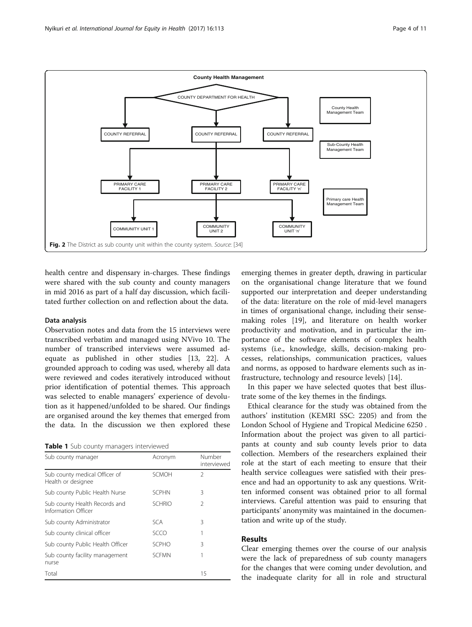<span id="page-3-0"></span>

health centre and dispensary in-charges. These findings were shared with the sub county and county managers in mid 2016 as part of a half day discussion, which facilitated further collection on and reflection about the data.

# Data analysis

Observation notes and data from the 15 interviews were transcribed verbatim and managed using NVivo 10. The number of transcribed interviews were assumed adequate as published in other studies [\[13](#page-10-0), [22](#page-10-0)]. A grounded approach to coding was used, whereby all data were reviewed and codes iteratively introduced without prior identification of potential themes. This approach was selected to enable managers' experience of devolution as it happened/unfolded to be shared. Our findings are organised around the key themes that emerged from the data. In the discussion we then explored these

Table 1 Sub county managers interviewed

| Sub county manager                                   | Acronym       | Number<br>interviewed |
|------------------------------------------------------|---------------|-----------------------|
| Sub county medical Officer of<br>Health or designee  | <b>SCMOH</b>  | $\mathfrak{D}$        |
| Sub county Public Health Nurse                       | <b>SCPHN</b>  | 3                     |
| Sub county Health Records and<br>Information Officer | <b>SCHRIO</b> | $\mathfrak{D}$        |
| Sub county Administrator                             | SCA           | 3                     |
| Sub county clinical officer                          | <b>SCCO</b>   |                       |
| Sub county Public Health Officer                     | <b>SCPHO</b>  | 3                     |
| Sub county facility management<br>nurse              | <b>SCEMN</b>  |                       |
| Total                                                |               | 15                    |

emerging themes in greater depth, drawing in particular on the organisational change literature that we found supported our interpretation and deeper understanding of the data: literature on the role of mid-level managers in times of organisational change, including their sensemaking roles [[19](#page-10-0)], and literature on health worker productivity and motivation, and in particular the importance of the software elements of complex health systems (i.e., knowledge, skills, decision-making processes, relationships, communication practices, values and norms, as opposed to hardware elements such as infrastructure, technology and resource levels) [[14](#page-10-0)].

In this paper we have selected quotes that best illustrate some of the key themes in the findings.

Ethical clearance for the study was obtained from the authors' institution (KEMRI SSC: 2205) and from the London School of Hygiene and Tropical Medicine 6250 . Information about the project was given to all participants at county and sub county levels prior to data collection. Members of the researchers explained their role at the start of each meeting to ensure that their health service colleagues were satisfied with their presence and had an opportunity to ask any questions. Written informed consent was obtained prior to all formal interviews. Careful attention was paid to ensuring that participants' anonymity was maintained in the documentation and write up of the study.

# Results

Clear emerging themes over the course of our analysis were the lack of preparedness of sub county managers for the changes that were coming under devolution, and the inadequate clarity for all in role and structural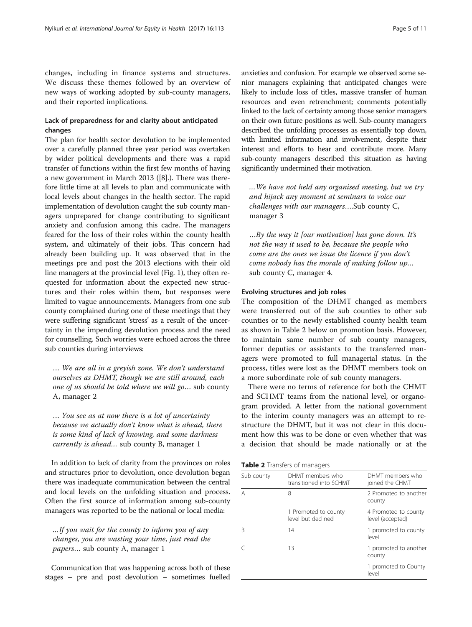changes, including in finance systems and structures. We discuss these themes followed by an overview of new ways of working adopted by sub-county managers, and their reported implications.

# Lack of preparedness for and clarity about anticipated changes

The plan for health sector devolution to be implemented over a carefully planned three year period was overtaken by wider political developments and there was a rapid transfer of functions within the first few months of having a new government in March 2013 ([[8](#page-10-0)].). There was therefore little time at all levels to plan and communicate with local levels about changes in the health sector. The rapid implementation of devolution caught the sub county managers unprepared for change contributing to significant anxiety and confusion among this cadre. The managers feared for the loss of their roles within the county health system, and ultimately of their jobs. This concern had already been building up. It was observed that in the meetings pre and post the 2013 elections with their old line managers at the provincial level (Fig. [1](#page-2-0)), they often requested for information about the expected new structures and their roles within them, but responses were limited to vague announcements. Managers from one sub county complained during one of these meetings that they were suffering significant 'stress' as a result of the uncertainty in the impending devolution process and the need for counselling. Such worries were echoed across the three sub counties during interviews:

… We are all in a greyish zone. We don't understand ourselves as DHMT, though we are still around, each one of us should be told where we will go… sub county A, manager 2

… You see as at now there is a lot of uncertainty because we actually don't know what is ahead, there is some kind of lack of knowing, and some darkness currently is ahead… sub county B, manager 1

In addition to lack of clarity from the provinces on roles and structures prior to devolution, once devolution began there was inadequate communication between the central and local levels on the unfolding situation and process. Often the first source of information among sub-county managers was reported to be the national or local media:

…If you wait for the county to inform you of any changes, you are wasting your time, just read the papers… sub county A, manager 1

Communication that was happening across both of these stages – pre and post devolution – sometimes fuelled anxieties and confusion. For example we observed some senior managers explaining that anticipated changes were likely to include loss of titles, massive transfer of human resources and even retrenchment; comments potentially linked to the lack of certainty among those senior managers on their own future positions as well. Sub-county managers described the unfolding processes as essentially top down, with limited information and involvement, despite their interest and efforts to hear and contribute more. Many sub-county managers described this situation as having significantly undermined their motivation.

…We have not held any organised meeting, but we try and hijack any moment at seminars to voice our challenges with our managers….Sub county C, manager 3

…By the way it [our motivation] has gone down. It's not the way it used to be, because the people who come are the ones we issue the licence if you don't come nobody has the morale of making follow up… sub county C, manager 4.

## Evolving structures and job roles

The composition of the DHMT changed as members were transferred out of the sub counties to other sub counties or to the newly established county health team as shown in Table 2 below on promotion basis. However, to maintain same number of sub county managers, former deputies or assistants to the transferred managers were promoted to full managerial status. In the process, titles were lost as the DHMT members took on a more subordinate role of sub county managers.

There were no terms of reference for both the CHMT and SCHMT teams from the national level, or organogram provided. A letter from the national government to the interim county managers was an attempt to restructure the DHMT, but it was not clear in this document how this was to be done or even whether that was a decision that should be made nationally or at the

## Table 2 Transfers of managers

| Sub county   | DHMT members who<br>transitioned into SCHMT | DHMT members who<br>joined the CHMT      |
|--------------|---------------------------------------------|------------------------------------------|
| A            | 8                                           | 2 Promoted to another<br>county          |
|              | 1 Promoted to county<br>level but declined  | 4 Promoted to county<br>level (accepted) |
| <sub>R</sub> | 14                                          | 1 promoted to county<br>level            |
|              | 13                                          | 1 promoted to another<br>county          |
|              |                                             | 1 promoted to County<br>level            |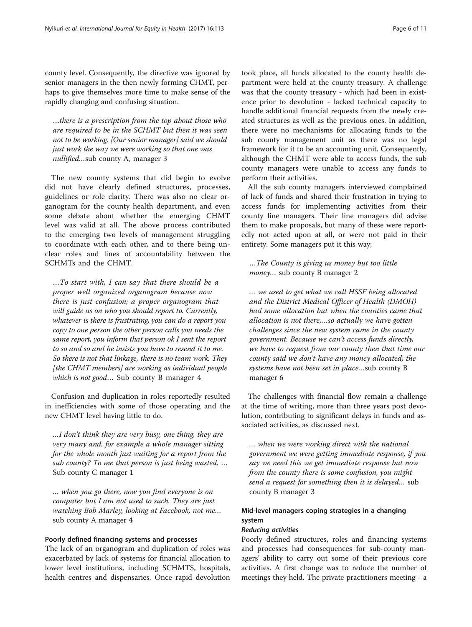county level. Consequently, the directive was ignored by senior managers in the then newly forming CHMT, perhaps to give themselves more time to make sense of the rapidly changing and confusing situation.

…there is a prescription from the top about those who are required to be in the SCHMT but then it was seen not to be working. [Our senior manager] said we should just work the way we were working so that one was nullified…sub county A, manager 3

The new county systems that did begin to evolve did not have clearly defined structures, processes, guidelines or role clarity. There was also no clear organogram for the county health department, and even some debate about whether the emerging CHMT level was valid at all. The above process contributed to the emerging two levels of management struggling to coordinate with each other, and to there being unclear roles and lines of accountability between the SCHMTs and the CHMT.

…To start with, I can say that there should be a proper well organized organogram because now there is just confusion; a proper organogram that will guide us on who you should report to. Currently, whatever is there is frustrating, you can do a report you copy to one person the other person calls you needs the same report, you inform that person ok I sent the report to so and so and he insists you have to resend it to me. So there is not that linkage, there is no team work. They [the CHMT members] are working as individual people which is not good... Sub county B manager 4

Confusion and duplication in roles reportedly resulted in inefficiencies with some of those operating and the new CHMT level having little to do.

…I don't think they are very busy, one thing, they are very many and, for example a whole manager sitting for the whole month just waiting for a report from the sub county? To me that person is just being wasted. … Sub county C manager 1

… when you go there, now you find everyone is on computer but I am not used to such. They are just watching Bob Marley, looking at Facebook, not me… sub county A manager 4

# Poorly defined financing systems and processes

The lack of an organogram and duplication of roles was exacerbated by lack of systems for financial allocation to lower level institutions, including SCHMTS, hospitals, health centres and dispensaries. Once rapid devolution

took place, all funds allocated to the county health department were held at the county treasury. A challenge was that the county treasury - which had been in existence prior to devolution - lacked technical capacity to handle additional financial requests from the newly created structures as well as the previous ones. In addition, there were no mechanisms for allocating funds to the sub county management unit as there was no legal framework for it to be an accounting unit. Consequently, although the CHMT were able to access funds, the sub county managers were unable to access any funds to perform their activities.

All the sub county managers interviewed complained of lack of funds and shared their frustration in trying to access funds for implementing activities from their county line managers. Their line managers did advise them to make proposals, but many of these were reportedly not acted upon at all, or were not paid in their entirety. Some managers put it this way;

…The County is giving us money but too little money... sub county B manager 2

… we used to get what we call HSSF being allocated and the District Medical Officer of Health (DMOH) had some allocation but when the counties came that allocation is not there,…so actually we have gotten challenges since the new system came in the county government. Because we can't access funds directly, we have to request from our county then that time our county said we don't have any money allocated; the systems have not been set in place…sub county B manager 6

The challenges with financial flow remain a challenge at the time of writing, more than three years post devolution, contributing to significant delays in funds and associated activities, as discussed next.

… when we were working direct with the national government we were getting immediate response, if you say we need this we get immediate response but now from the county there is some confusion, you might send a request for something then it is delayed… sub county B manager 3

# Mid-level managers coping strategies in a changing system

# Reducing activities

Poorly defined structures, roles and financing systems and processes had consequences for sub-county managers' ability to carry out some of their previous core activities. A first change was to reduce the number of meetings they held. The private practitioners meeting - a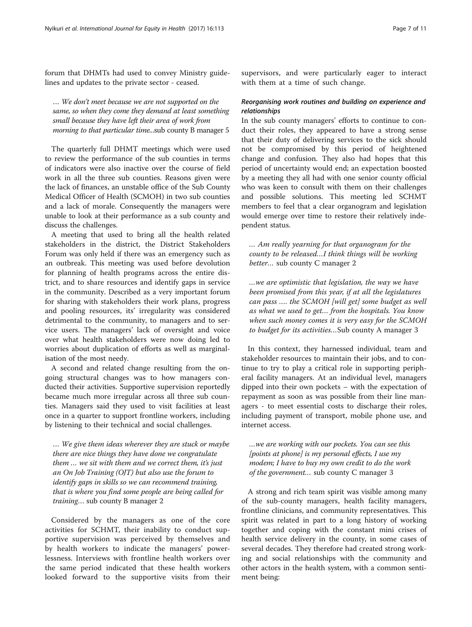forum that DHMTs had used to convey Ministry guidelines and updates to the private sector - ceased.

… We don't meet because we are not supported on the same, so when they come they demand at least something small because they have left their area of work from morning to that particular time...sub county B manager 5

The quarterly full DHMT meetings which were used to review the performance of the sub counties in terms of indicators were also inactive over the course of field work in all the three sub counties. Reasons given were the lack of finances, an unstable office of the Sub County Medical Officer of Health (SCMOH) in two sub counties and a lack of morale. Consequently the managers were unable to look at their performance as a sub county and discuss the challenges.

A meeting that used to bring all the health related stakeholders in the district, the District Stakeholders Forum was only held if there was an emergency such as an outbreak. This meeting was used before devolution for planning of health programs across the entire district, and to share resources and identify gaps in service in the community. Described as a very important forum for sharing with stakeholders their work plans, progress and pooling resources, its' irregularity was considered detrimental to the community, to managers and to service users. The managers' lack of oversight and voice over what health stakeholders were now doing led to worries about duplication of efforts as well as marginalisation of the most needy.

A second and related change resulting from the ongoing structural changes was to how managers conducted their activities. Supportive supervision reportedly became much more irregular across all three sub counties. Managers said they used to visit facilities at least once in a quarter to support frontline workers, including by listening to their technical and social challenges.

… We give them ideas wherever they are stuck or maybe there are nice things they have done we congratulate them … we sit with them and we correct them, it's just an On Job Training (OJT) but also use the forum to identify gaps in skills so we can recommend training, that is where you find some people are being called for training… sub county B manager 2

Considered by the managers as one of the core activities for SCHMT, their inability to conduct supportive supervision was perceived by themselves and by health workers to indicate the managers' powerlessness. Interviews with frontline health workers over the same period indicated that these health workers looked forward to the supportive visits from their

supervisors, and were particularly eager to interact with them at a time of such change.

# Reorganising work routines and building on experience and relationships

In the sub county managers' efforts to continue to conduct their roles, they appeared to have a strong sense that their duty of delivering services to the sick should not be compromised by this period of heightened change and confusion. They also had hopes that this period of uncertainty would end; an expectation boosted by a meeting they all had with one senior county official who was keen to consult with them on their challenges and possible solutions. This meeting led SCHMT members to feel that a clear organogram and legislation would emerge over time to restore their relatively independent status.

… Am really yearning for that organogram for the county to be released…I think things will be working better… sub county C manager 2

…we are optimistic that legislation, the way we have been promised from this year, if at all the legislatures can pass …. the SCMOH [will get] some budget as well as what we used to get… from the hospitals. You know when such money comes it is very easy for the SCMOH to budget for its activities…Sub county A manager 3

In this context, they harnessed individual, team and stakeholder resources to maintain their jobs, and to continue to try to play a critical role in supporting peripheral facility managers. At an individual level, managers dipped into their own pockets – with the expectation of repayment as soon as was possible from their line managers - to meet essential costs to discharge their roles, including payment of transport, mobile phone use, and internet access.

…we are working with our pockets. You can see this [points at phone] is my personal effects, I use my modem; I have to buy my own credit to do the work of the government… sub county C manager 3

A strong and rich team spirit was visible among many of the sub-county managers, health facility managers, frontline clinicians, and community representatives. This spirit was related in part to a long history of working together and coping with the constant mini crises of health service delivery in the county, in some cases of several decades. They therefore had created strong working and social relationships with the community and other actors in the health system, with a common sentiment being: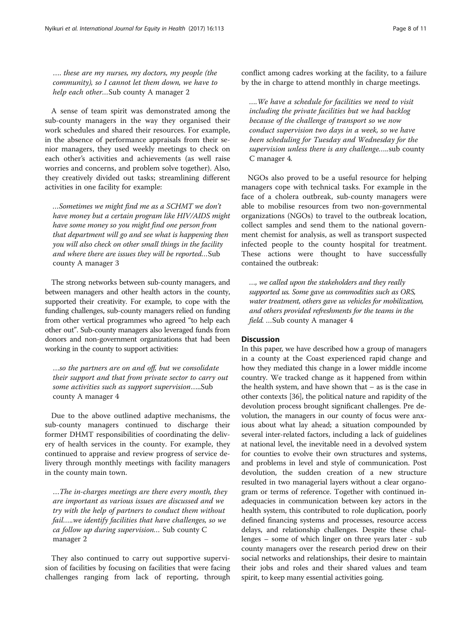…. these are my nurses, my doctors, my people (the community), so I cannot let them down, we have to help each other...Sub county A manager 2

A sense of team spirit was demonstrated among the sub-county managers in the way they organised their work schedules and shared their resources. For example, in the absence of performance appraisals from their senior managers, they used weekly meetings to check on each other's activities and achievements (as well raise worries and concerns, and problem solve together). Also, they creatively divided out tasks; streamlining different activities in one facility for example:

…Sometimes we might find me as a SCHMT we don't have money but a certain program like HIV/AIDS might have some money so you might find one person from that department will go and see what is happening then you will also check on other small things in the facility and where there are issues they will be reported…Sub county A manager 3

The strong networks between sub-county managers, and between managers and other health actors in the county, supported their creativity. For example, to cope with the funding challenges, sub-county managers relied on funding from other vertical programmes who agreed "to help each other out". Sub-county managers also leveraged funds from donors and non-government organizations that had been working in the county to support activities:

…so the partners are on and off, but we consolidate their support and that from private sector to carry out some activities such as support supervision…..Sub county A manager 4

Due to the above outlined adaptive mechanisms, the sub-county managers continued to discharge their former DHMT responsibilities of coordinating the delivery of health services in the county. For example, they continued to appraise and review progress of service delivery through monthly meetings with facility managers in the county main town.

…The in-charges meetings are there every month, they are important as various issues are discussed and we try with the help of partners to conduct them without fail…..we identify facilities that have challenges, so we ca follow up during supervision… Sub county C manager 2

They also continued to carry out supportive supervision of facilities by focusing on facilities that were facing challenges ranging from lack of reporting, through conflict among cadres working at the facility, to a failure by the in charge to attend monthly in charge meetings.

….We have a schedule for facilities we need to visit including the private facilities but we had backlog because of the challenge of transport so we now conduct supervision two days in a week, so we have been scheduling for Tuesday and Wednesday for the supervision unless there is any challenge.....sub county C manager 4.

NGOs also proved to be a useful resource for helping managers cope with technical tasks. For example in the face of a cholera outbreak, sub-county managers were able to mobilise resources from two non-governmental organizations (NGOs) to travel to the outbreak location, collect samples and send them to the national government chemist for analysis, as well as transport suspected infected people to the county hospital for treatment. These actions were thought to have successfully contained the outbreak:

…, we called upon the stakeholders and they really supported us. Some gave us commodities such as ORS, water treatment, others gave us vehicles for mobilization, and others provided refreshments for the teams in the field. ...Sub county A manager 4

# **Discussion**

In this paper, we have described how a group of managers in a county at the Coast experienced rapid change and how they mediated this change in a lower middle income country. We tracked change as it happened from within the health system, and have shown that – as is the case in other contexts [\[36\]](#page-10-0), the political nature and rapidity of the devolution process brought significant challenges. Pre devolution, the managers in our county of focus were anxious about what lay ahead; a situation compounded by several inter-related factors, including a lack of guidelines at national level, the inevitable need in a devolved system for counties to evolve their own structures and systems, and problems in level and style of communication. Post devolution, the sudden creation of a new structure resulted in two managerial layers without a clear organogram or terms of reference. Together with continued inadequacies in communication between key actors in the health system, this contributed to role duplication, poorly defined financing systems and processes, resource access delays, and relationship challenges. Despite these challenges – some of which linger on three years later - sub county managers over the research period drew on their social networks and relationships, their desire to maintain their jobs and roles and their shared values and team spirit, to keep many essential activities going.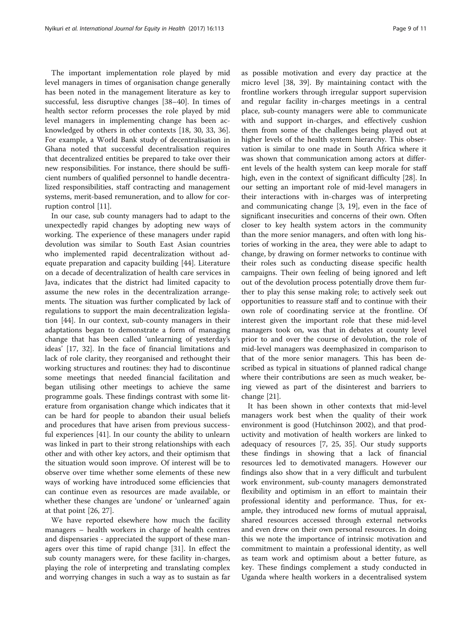The important implementation role played by mid level managers in times of organisation change generally has been noted in the management literature as key to successful, less disruptive changes [[38](#page-10-0)–[40](#page-10-0)]. In times of health sector reform processes the role played by mid level managers in implementing change has been acknowledged by others in other contexts [[18, 30](#page-10-0), [33, 36](#page-10-0)]. For example, a World Bank study of decentralisation in Ghana noted that successful decentralisation requires that decentralized entities be prepared to take over their new responsibilities. For instance, there should be sufficient numbers of qualified personnel to handle decentralized responsibilities, staff contracting and management systems, merit-based remuneration, and to allow for corruption control [[11](#page-10-0)].

In our case, sub county managers had to adapt to the unexpectedly rapid changes by adopting new ways of working. The experience of these managers under rapid devolution was similar to South East Asian countries who implemented rapid decentralization without adequate preparation and capacity building [[44\]](#page-10-0). Literature on a decade of decentralization of health care services in Java, indicates that the district had limited capacity to assume the new roles in the decentralization arrangements. The situation was further complicated by lack of regulations to support the main decentralization legislation [\[44](#page-10-0)]. In our context, sub-county managers in their adaptations began to demonstrate a form of managing change that has been called 'unlearning of yesterday's ideas' [[17, 32](#page-10-0)]. In the face of financial limitations and lack of role clarity, they reorganised and rethought their working structures and routines: they had to discontinue some meetings that needed financial facilitation and began utilising other meetings to achieve the same programme goals. These findings contrast with some literature from organisation change which indicates that it can be hard for people to abandon their usual beliefs and procedures that have arisen from previous successful experiences [[41](#page-10-0)]. In our county the ability to unlearn was linked in part to their strong relationships with each other and with other key actors, and their optimism that the situation would soon improve. Of interest will be to observe over time whether some elements of these new ways of working have introduced some efficiencies that can continue even as resources are made available, or whether these changes are 'undone' or 'unlearned' again at that point [[26, 27\]](#page-10-0).

We have reported elsewhere how much the facility managers – health workers in charge of health centres and dispensaries - appreciated the support of these managers over this time of rapid change [[31\]](#page-10-0). In effect the sub county managers were, for these facility in-charges, playing the role of interpreting and translating complex and worrying changes in such a way as to sustain as far as possible motivation and every day practice at the micro level [[38](#page-10-0), [39\]](#page-10-0). By maintaining contact with the frontline workers through irregular support supervision and regular facility in-charges meetings in a central place, sub-county managers were able to communicate with and support in-charges, and effectively cushion them from some of the challenges being played out at higher levels of the health system hierarchy. This observation is similar to one made in South Africa where it was shown that communication among actors at different levels of the health system can keep morale for staff high, even in the context of significant difficulty [\[28](#page-10-0)]. In our setting an important role of mid-level managers in their interactions with in-charges was of interpreting and communicating change [[3, 19\]](#page-10-0), even in the face of significant insecurities and concerns of their own. Often closer to key health system actors in the community than the more senior managers, and often with long histories of working in the area, they were able to adapt to change, by drawing on former networks to continue with their roles such as conducting disease specific health campaigns. Their own feeling of being ignored and left out of the devolution process potentially drove them further to play this sense making role; to actively seek out opportunities to reassure staff and to continue with their own role of coordinating service at the frontline. Of interest given the important role that these mid-level managers took on, was that in debates at county level prior to and over the course of devolution, the role of mid-level managers was deemphasized in comparison to that of the more senior managers. This has been described as typical in situations of planned radical change where their contributions are seen as much weaker, being viewed as part of the disinterest and barriers to change [\[21](#page-10-0)].

It has been shown in other contexts that mid-level managers work best when the quality of their work environment is good (Hutchinson 2002), and that productivity and motivation of health workers are linked to adequacy of resources [[7](#page-10-0), [25](#page-10-0), [35\]](#page-10-0). Our study supports these findings in showing that a lack of financial resources led to demotivated managers. However our findings also show that in a very difficult and turbulent work environment, sub-county managers demonstrated flexibility and optimism in an effort to maintain their professional identity and performance. Thus, for example, they introduced new forms of mutual appraisal, shared resources accessed through external networks and even drew on their own personal resources. In doing this we note the importance of intrinsic motivation and commitment to maintain a professional identity, as well as team work and optimism about a better future, as key. These findings complement a study conducted in Uganda where health workers in a decentralised system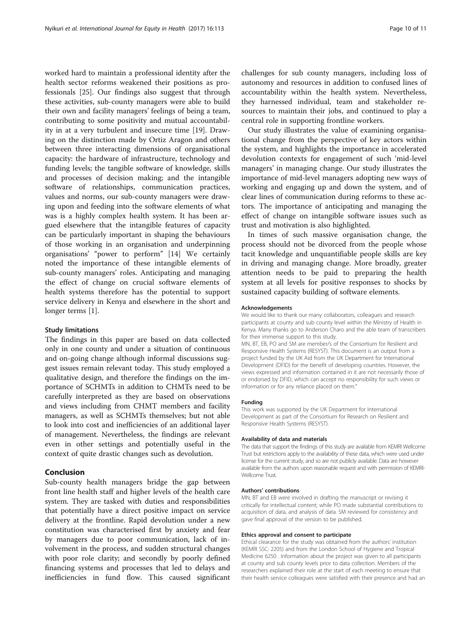worked hard to maintain a professional identity after the health sector reforms weakened their positions as professionals [\[25](#page-10-0)]. Our findings also suggest that through these activities, sub-county managers were able to build their own and facility managers' feelings of being a team, contributing to some positivity and mutual accountability in at a very turbulent and insecure time [[19\]](#page-10-0). Drawing on the distinction made by Ortiz Aragon and others between three interacting dimensions of organisational capacity: the hardware of infrastructure, technology and funding levels; the tangible software of knowledge, skills and processes of decision making; and the intangible software of relationships, communication practices, values and norms, our sub-county managers were drawing upon and feeding into the software elements of what was is a highly complex health system. It has been argued elsewhere that the intangible features of capacity can be particularly important in shaping the behaviours of those working in an organisation and underpinning organisations' "power to perform" [\[14](#page-10-0)] We certainly noted the importance of these intangible elements of sub-county managers' roles. Anticipating and managing the effect of change on crucial software elements of health systems therefore has the potential to support service delivery in Kenya and elsewhere in the short and longer terms [[1\]](#page-10-0).

## Study limitations

The findings in this paper are based on data collected only in one county and under a situation of continuous and on-going change although informal discussions suggest issues remain relevant today. This study employed a qualitative design, and therefore the findings on the importance of SCHMTs in addition to CHMTs need to be carefully interpreted as they are based on observations and views including from CHMT members and facility managers, as well as SCHMTs themselves; but not able to look into cost and inefficiencies of an additional layer of management. Nevertheless, the findings are relevant even in other settings and potentially useful in the context of quite drastic changes such as devolution.

# Conclusion

Sub-county health managers bridge the gap between front line health staff and higher levels of the health care system. They are tasked with duties and responsibilities that potentially have a direct positive impact on service delivery at the frontline. Rapid devolution under a new constitution was characterised first by anxiety and fear by managers due to poor communication, lack of involvement in the process, and sudden structural changes with poor role clarity; and secondly by poorly defined financing systems and processes that led to delays and inefficiencies in fund flow. This caused significant

challenges for sub county managers, including loss of autonomy and resources in addition to confused lines of accountability within the health system. Nevertheless, they harnessed individual, team and stakeholder resources to maintain their jobs, and continued to play a central role in supporting frontline workers.

Our study illustrates the value of examining organisational change from the perspective of key actors within the system, and highlights the importance in accelerated devolution contexts for engagement of such 'mid-level managers' in managing change. Our study illustrates the importance of mid-level managers adopting new ways of working and engaging up and down the system, and of clear lines of communication during reforms to these actors. The importance of anticipating and managing the effect of change on intangible software issues such as trust and motivation is also highlighted.

In times of such massive organisation change, the process should not be divorced from the people whose tacit knowledge and unquantifiable people skills are key in driving and managing change. More broadly, greater attention needs to be paid to preparing the health system at all levels for positive responses to shocks by sustained capacity building of software elements.

#### Acknowledgements

We would like to thank our many collaborators, colleagues and research participants at county and sub county level within the Ministry of Health in Kenya. Many thanks go to Anderson Charo and the able team of transcribers for their immense support to this study.

MN, BT, EB, PO and SM are member/s of the Consortium for Resilient and Responsive Health Systems (RESYST). This document is an output from a project funded by the UK Aid from the UK Department for International Development (DFID) for the benefit of developing countries. However, the views expressed and information contained in it are not necessarily those of or endorsed by DFID, which can accept no responsibility for such views or information or for any reliance placed on them."

#### Funding

This work was supported by the UK Department for International Development as part of the Consortium for Research on Resilient and Responsive Health Systems (RESYST).

#### Availability of data and materials

The data that support the findings of this study are available from KEMRI Wellcome Trust but restrictions apply to the availability of these data, which were used under license for the current study, and so are not publicly available. Data are however available from the authors upon reasonable request and with permission of KEMRI-Wellcome Trust.

#### Authors' contributions

MN, BT and EB were involved in drafting the manuscript or revising it critically for intellectual content; while PO made substantial contributions to acquisition of data, and analysis of data. SM reviewed for consistency and gave final approval of the version to be published.

## Ethics approval and consent to participate

Ethical clearance for the study was obtained from the authors' institution (KEMRI SSC: 2205) and from the London School of Hygiene and Tropical Medicine 6250 . Information about the project was given to all participants at county and sub county levels prior to data collection. Members of the researchers explained their role at the start of each meeting to ensure that their health service colleagues were satisfied with their presence and had an